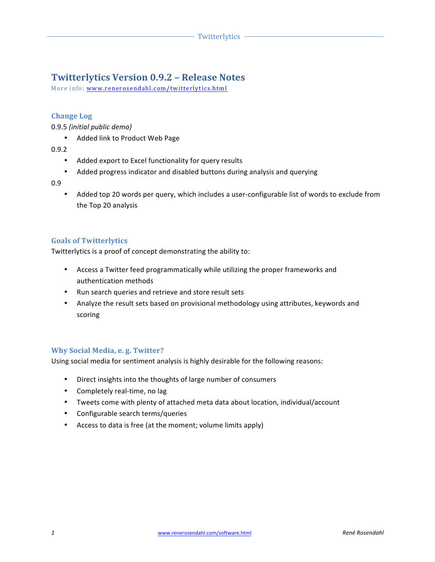# **Twitterlytics Version 0.9.2 – Release Notes**

More info: www.renerosendahl.com/twitterlytics.html

# **Change Log**

0.9.5 *(initial public demo)*

• Added link to Product Web Page

0.9.2

- Added export to Excel functionality for query results
- Added progress indicator and disabled buttons during analysis and querying

0.9

• Added top 20 words per query, which includes a user-configurable list of words to exclude from the Top 20 analysis

# **Goals of Twitterlytics**

Twitterlytics is a proof of concept demonstrating the ability to:

- Access a Twitter feed programmatically while utilizing the proper frameworks and authentication methods
- Run search queries and retrieve and store result sets
- Analyze the result sets based on provisional methodology using attributes, keywords and scoring

# **Why Social Media, e. g. Twitter?**

Using social media for sentiment analysis is highly desirable for the following reasons:

- Direct insights into the thoughts of large number of consumers
- Completely real-time, no lag
- Tweets come with plenty of attached meta data about location, individual/account
- Configurable search terms/queries
- Access to data is free (at the moment; volume limits apply)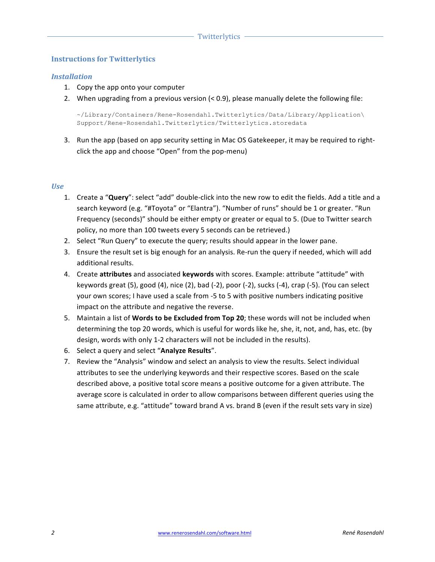## **Instructions for Twitterlytics**

### *Installation*

- 1. Copy the app onto your computer
- 2. When upgrading from a previous version  $(< 0.9)$ , please manually delete the following file:

```
~/Library/Containers/Rene-Rosendahl.Twitterlytics/Data/Library/Application\
Support/Rene-Rosendahl.Twitterlytics/Twitterlytics.storedata
```
3. Run the app (based on app security setting in Mac OS Gatekeeper, it may be required to rightclick the app and choose "Open" from the pop-menu)

#### *Use*

- 1. Create a "Query": select "add" double-click into the new row to edit the fields. Add a title and a search keyword (e.g. "#Toyota" or "Elantra"). "Number of runs" should be 1 or greater. "Run Frequency (seconds)" should be either empty or greater or equal to 5. (Due to Twitter search policy, no more than 100 tweets every 5 seconds can be retrieved.)
- 2. Select "Run Query" to execute the query; results should appear in the lower pane.
- 3. Ensure the result set is big enough for an analysis. Re-run the query if needed, which will add additional results.
- 4. Create **attributes** and associated **keywords** with scores. Example: attribute "attitude" with keywords great  $(5)$ , good  $(4)$ , nice  $(2)$ , bad  $(-2)$ , poor  $(-2)$ , sucks  $(-4)$ , crap  $(-5)$ . (You can select your own scores; I have used a scale from -5 to 5 with positive numbers indicating positive impact on the attribute and negative the reverse.
- 5. Maintain a list of **Words to be Excluded from Top 20**; these words will not be included when determining the top 20 words, which is useful for words like he, she, it, not, and, has, etc. (by design, words with only 1-2 characters will not be included in the results).
- 6. Select a query and select "Analyze Results".
- 7. Review the "Analysis" window and select an analysis to view the results. Select individual attributes to see the underlying keywords and their respective scores. Based on the scale described above, a positive total score means a positive outcome for a given attribute. The average score is calculated in order to allow comparisons between different queries using the same attribute, e.g. "attitude" toward brand A vs. brand B (even if the result sets vary in size)